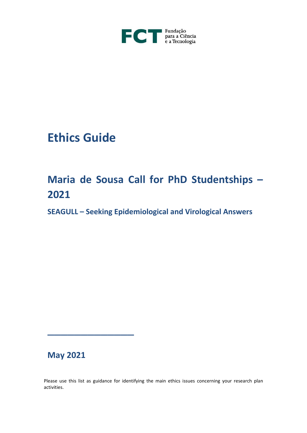

# **Ethics Guide**

## **Maria de Sousa Call for PhD Studentships – 2021**

**SEAGULL – Seeking Epidemiological and Virological Answers**

### **May 2021**

\_\_\_\_\_\_\_\_\_\_\_\_\_

Please use this list as guidance for identifying the main ethics issues concerning your research plan activities.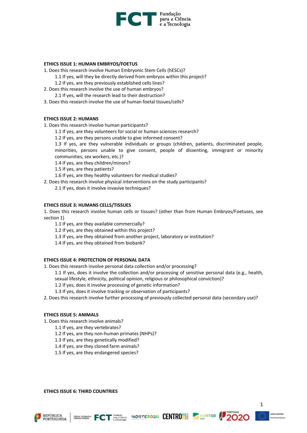

#### **ETHICS ISSUE 1: HUMAN EMBRYOS/FOETUS**

- 1. Does this research involve Human Embryonic Stem Cells (hESCs)?
	- 1.1 If yes, will they be directly derived from embryos within this project?
	- 1.2 If yes, are they previously established cells lines?
- 2. Does this research involve the use of human embryos? 2.1 If yes, will the research lead to their destruction?
- 3. Does this research involve the use of human foetal tissues/cells?

#### **ETHICS ISSUE 2: HUMANS**

1. Does this research involve human participants?

- 1.1 If yes, are they volunteers for social or human sciences research?
- 1.2 If yes, are they persons unable to give informed consent?

1.3 If yes, are they vulnerable individuals or groups (children, patients, discriminated people, minorities, persons unable to give consent, people of dissenting, immigrant or minority communities, sex workers, etc.)?

1.4 If yes, are they children/minors?

1.5 If yes, are they patients?

1.6 If yes, are they healthy volunteers for medical studies?

2. Does this research involve physical interventions on the study participants?

2.1 If yes, does it involve invasive techniques?

#### **ETHICS ISSUE 3: HUMANS CELLS/TISSUES**

1. Does this research involve human cells or tissues? (other than from Human Embryos/Foetuses, see section 1)

1.1 If yes, are they available commercially?

1.2 If yes, are they obtained within this project?

1.3 If yes, are they obtained from another project, laboratory or institution?

1.4 If yes, are they obtained from biobank?

#### **ETHICS ISSUE 4: PROTECTION OF PERSONAL DATA**

1. Does this research involve personal data collection and/or processing?

1.1 If yes, does it involve the collection and/or processing of sensitive personal data (e.g., health,

sexual lifestyle, ethnicity, political opinion, religious or philosophical conviction)?

1.2 If yes, does it involve processing of genetic information?

1.3 If yes, does it involve tracking or observation of participants?

2. Does this research involve further processing of previously collected personal data (secondary use)?

#### **ETHICS ISSUE 5: ANIMALS**

- 1. Does this research involve animals?
	- 1.1 If yes, are they vertebrates?
	- 1.2 If yes, are they non-human primates (NHPs)?
	- 1.3 If yes, are they genetically modified?
	- 1.4 If yes, are they cloned farm animals?
	- 1.5 If yes, are they endangered species?

**ETHICS ISSUE 6: THIRD COUNTRIES** 









1